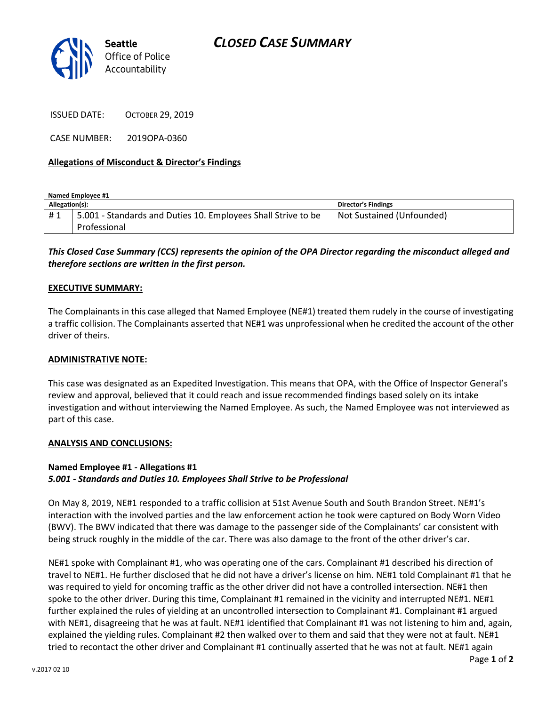

ISSUED DATE: OCTOBER 29, 2019

CASE NUMBER: 2019OPA-0360

### **Allegations of Misconduct & Director's Findings**

**Named Employee #1**

| Allegation(s): |                                                               | <b>Director's Findings</b> |
|----------------|---------------------------------------------------------------|----------------------------|
| #1             | 5.001 - Standards and Duties 10. Employees Shall Strive to be | Not Sustained (Unfounded)  |
|                | Professional                                                  |                            |

# *This Closed Case Summary (CCS) represents the opinion of the OPA Director regarding the misconduct alleged and therefore sections are written in the first person.*

#### **EXECUTIVE SUMMARY:**

The Complainants in this case alleged that Named Employee (NE#1) treated them rudely in the course of investigating a traffic collision. The Complainants asserted that NE#1 was unprofessional when he credited the account of the other driver of theirs.

#### **ADMINISTRATIVE NOTE:**

This case was designated as an Expedited Investigation. This means that OPA, with the Office of Inspector General's review and approval, believed that it could reach and issue recommended findings based solely on its intake investigation and without interviewing the Named Employee. As such, the Named Employee was not interviewed as part of this case.

#### **ANALYSIS AND CONCLUSIONS:**

## **Named Employee #1 - Allegations #1** *5.001 - Standards and Duties 10. Employees Shall Strive to be Professional*

On May 8, 2019, NE#1 responded to a traffic collision at 51st Avenue South and South Brandon Street. NE#1's interaction with the involved parties and the law enforcement action he took were captured on Body Worn Video (BWV). The BWV indicated that there was damage to the passenger side of the Complainants' car consistent with being struck roughly in the middle of the car. There was also damage to the front of the other driver's car.

NE#1 spoke with Complainant #1, who was operating one of the cars. Complainant #1 described his direction of travel to NE#1. He further disclosed that he did not have a driver's license on him. NE#1 told Complainant #1 that he was required to yield for oncoming traffic as the other driver did not have a controlled intersection. NE#1 then spoke to the other driver. During this time, Complainant #1 remained in the vicinity and interrupted NE#1. NE#1 further explained the rules of yielding at an uncontrolled intersection to Complainant #1. Complainant #1 argued with NE#1, disagreeing that he was at fault. NE#1 identified that Complainant #1 was not listening to him and, again, explained the yielding rules. Complainant #2 then walked over to them and said that they were not at fault. NE#1 tried to recontact the other driver and Complainant #1 continually asserted that he was not at fault. NE#1 again